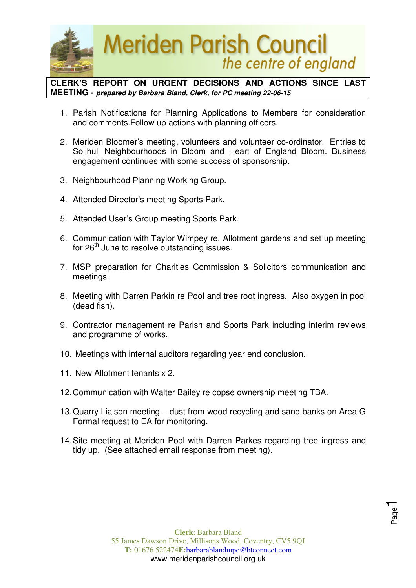

**CLERK'S REPORT ON URGENT DECISIONS AND ACTIONS SINCE LAST MEETING - prepared by Barbara Bland, Clerk, for PC meeting 22-06-15** 

- 1. Parish Notifications for Planning Applications to Members for consideration and comments.Follow up actions with planning officers.
- 2. Meriden Bloomer's meeting, volunteers and volunteer co-ordinator. Entries to Solihull Neighbourhoods in Bloom and Heart of England Bloom. Business engagement continues with some success of sponsorship.
- 3. Neighbourhood Planning Working Group.
- 4. Attended Director's meeting Sports Park.
- 5. Attended User's Group meeting Sports Park.
- 6. Communication with Taylor Wimpey re. Allotment gardens and set up meeting for 26<sup>th</sup> June to resolve outstanding issues.
- 7. MSP preparation for Charities Commission & Solicitors communication and meetings.
- 8. Meeting with Darren Parkin re Pool and tree root ingress. Also oxygen in pool (dead fish).
- 9. Contractor management re Parish and Sports Park including interim reviews and programme of works.
- 10. Meetings with internal auditors regarding year end conclusion.
- 11. New Allotment tenants x 2.
- 12. Communication with Walter Bailey re copse ownership meeting TBA.
- 13. Quarry Liaison meeting dust from wood recycling and sand banks on Area G Formal request to EA for monitoring.
- 14. Site meeting at Meriden Pool with Darren Parkes regarding tree ingress and tidy up. (See attached email response from meeting).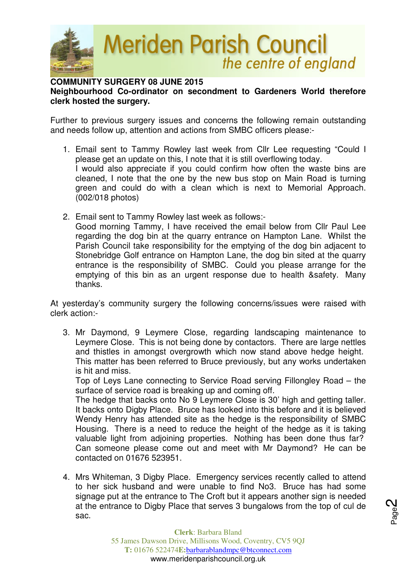

**COMMUNITY SURGERY 08 JUNE 2015** 

## **Neighbourhood Co-ordinator on secondment to Gardeners World therefore clerk hosted the surgery.**

Further to previous surgery issues and concerns the following remain outstanding and needs follow up, attention and actions from SMBC officers please:-

- 1. Email sent to Tammy Rowley last week from Cllr Lee requesting "Could I please get an update on this, I note that it is still overflowing today. I would also appreciate if you could confirm how often the waste bins are cleaned, I note that the one by the new bus stop on Main Road is turning green and could do with a clean which is next to Memorial Approach. (002/018 photos)
- 2. Email sent to Tammy Rowley last week as follows:- Good morning Tammy, I have received the email below from Cllr Paul Lee regarding the dog bin at the quarry entrance on Hampton Lane. Whilst the Parish Council take responsibility for the emptying of the dog bin adjacent to Stonebridge Golf entrance on Hampton Lane, the dog bin sited at the quarry entrance is the responsibility of SMBC. Could you please arrange for the emptying of this bin as an urgent response due to health &safety. Many thanks.

At yesterday's community surgery the following concerns/issues were raised with clerk action:-

3. Mr Daymond, 9 Leymere Close, regarding landscaping maintenance to Leymere Close. This is not being done by contactors. There are large nettles and thistles in amongst overgrowth which now stand above hedge height. This matter has been referred to Bruce previously, but any works undertaken is hit and miss.

Top of Leys Lane connecting to Service Road serving Fillongley Road – the surface of service road is breaking up and coming off.

The hedge that backs onto No 9 Leymere Close is 30' high and getting taller. It backs onto Digby Place. Bruce has looked into this before and it is believed Wendy Henry has attended site as the hedge is the responsibility of SMBC Housing. There is a need to reduce the height of the hedge as it is taking valuable light from adjoining properties. Nothing has been done thus far? Can someone please come out and meet with Mr Daymond? He can be contacted on 01676 523951.

4. Mrs Whiteman, 3 Digby Place. Emergency services recently called to attend to her sick husband and were unable to find No3. Bruce has had some signage put at the entrance to The Croft but it appears another sign is needed at the entrance to Digby Place that serves 3 bungalows from the top of cul de sac.

Page2